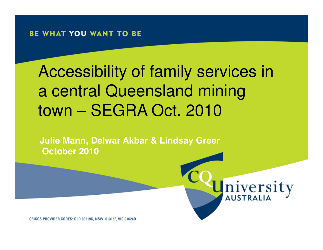# Accessibility of family services in a central Queensland mining town – SEGRA Oct. 2010

niversity

**Julie Mann, Delwar Akbar & Lindsay GreerOctober 2010**

CRICOS PROVIDER CODES: QLD 00219C, NSW 01315F, VIC 01624D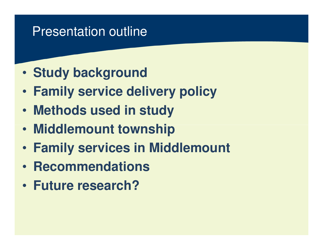# Presentation outline

- $\bullet$ **Study background**
- $\bullet$ **Family service delivery policy**
- $\bullet$ **Methods used in study**
- •**Middlemount township**
- •**Family services in Middlemount**
- $\bullet$ **• Recommendations**
- $\bullet$ **Future research?**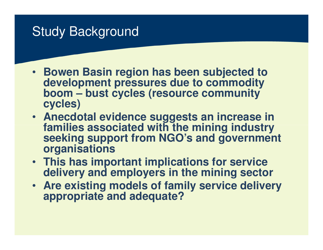## Study Background

- **Bowen Basin region has been subjected to development pressures due to commodity boom – bust cycles (resource community cycles)**
- **Anecdotal evidence suggests an increase in families associated with the mining industry seeking support from NGO's and government organisations**
- **This has important implications for service delivery and employers in the mining sector**
- **Are existing models of family service delivery appropriate and adequate?**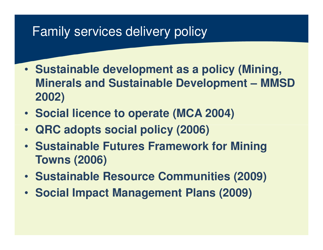# Family services delivery policy

- **Sustainable development as a policy (Mining, Minerals and Sustainable Development – MMSD 2002)**
- **Social licence to operate (MCA 2004)**
- •**QRC adopts social policy (2006)**
- **Sustainable Futures Framework for Mining Towns (2006)**
- **Sustainable Resource Communities (2009)**
- **Social Impact Management Plans (2009)**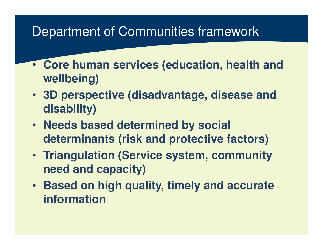# Department of Communities framework

- **Core human services (education, health and wellbeing)**
- **3D perspective (disadvantage, disease and disability)**
- **Needs based determined by social determinants (risk and protective factors)**
- **Triangulation (Service system, community need and capacity)**
- **Based on high quality, timely and accurate information**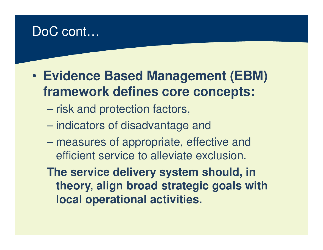# DoC cont…

- $\bullet$  **Evidence Based Management (EBM) framework defines core concepts:**
	- $\mathcal{L}_{\mathcal{A}}$  , and the set of  $\mathcal{L}_{\mathcal{A}}$ risk and protection factors,<br>– indicators of disadvantage :
	- indicators of disadvantage and
	- $\mathcal{L}_{\mathcal{A}}$  , and the set of  $\mathcal{L}_{\mathcal{A}}$  measures of appropriate, effective and efficient service to alleviate exclusion.
	- **The service delivery system should, in theory, align broad strategic goals with local operational activities.**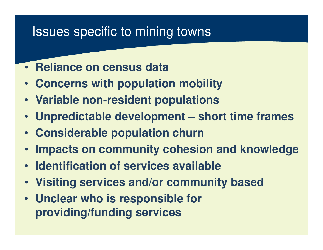# Issues specific to mining towns

- •**Reliance on census data**
- **Concerns with population mobility**
- **Variable non-resident populations**
- •**Unpredictable development – short time frames**
- **Considerable population churn**
- •**Impacts on community cohesion and knowledge**
- **Identification of services available**
- **Visiting services and/or community based**
- **Unclear who is responsible for providing/funding services**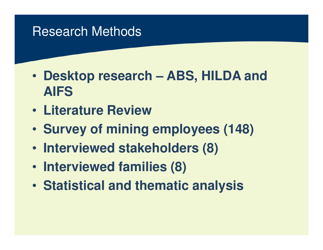## Research Methods

- $\bullet$  **Desktop research – ABS, HILDA and AIFS**
- $\bullet$ **Literature Review**
- Survoy of mining **Survey of mining employees (148)**
- $\bullet$ **Interviewed stakeholders (8)**
- $\bullet$ **Interviewed families (8)**
- $\bullet$ **Statistical and thematic analysis**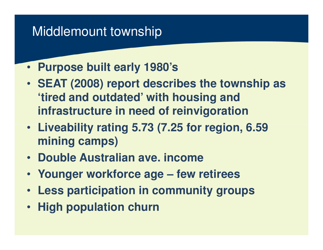# Middlemount township

- **Purpose built early 1980's**
- **SEAT (2008) report describes the township as 'tired and outdated' with housing and infrastructure in need of reinvigoration**
- **Liveability rating 5.73 (7.25 for region, 6.59 mining camps)**
- **Double Australian ave. income**
- **Younger workforce age – few retirees**
- **Less participation in community groups**
- **High population churn**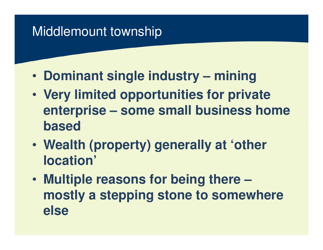# Middlemount township

- $\bullet$ **Dominant single industry – mining**
- $\bullet$  **Very limited opportunities for private enterprise – some small business home based**
- • **Wealth (property) generally at 'other location'**
- $\bullet$  **Multiple reasons for being there – mostly a stepping stone to somewhere else**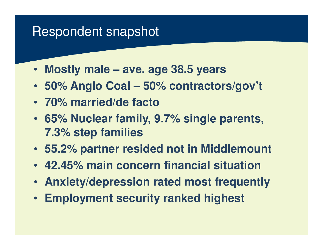#### Respondent snapshot

- **Mostly male – ave. age 38.5 years**
- **50% Anglo Coal – 50% contractors/gov't**
- **70% married/de facto**
- **65% Nuclear family, 9.7% single parents, 7.3% step families**
- **55.2% partner resided not in Middlemount**
- **42.45% main concern financial situation**
- **Anxiety/depression rated most frequently**
- **Employment security ranked highest**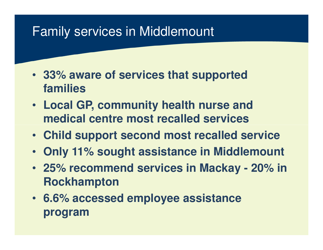# Family services in Middlemount

- **33% aware of services that supported families**
- **Local GP, community health nurse and medical centre most recalled services**
- **Child support second most recalled service**
- **Only 11% sought assistance in Middlemount**
- **25% recommend services in Mackay - 20% in Rockhampton**
- **6.6% accessed employee assistance program**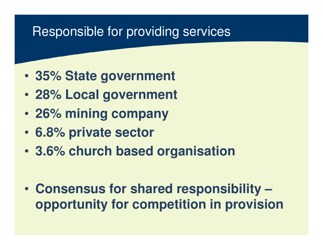# Responsible for providing services

- $\bullet$ **35% State government**
- $\bullet$ **28% Local government**
- $\bullet$ **26% mining company**
- •**6.8% private sector**
- •**3.6% church based organisation**
- $\bullet$  **Consensus for shared responsibility –opportunity for competition in provision**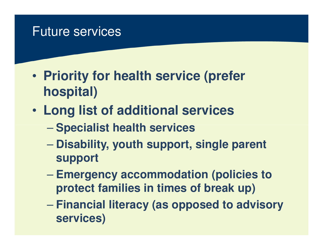#### Future services

- $\bullet$  **Priority for health service (prefer hospital)**
- $\bullet$  **Long list of additional services**
	- and the contract of the con-**Specialist health services**
	- $\mathcal{L}_{\mathcal{A}}$  , the state of the state  $\mathcal{L}_{\mathcal{A}}$  **Disability, youth support, single parent support**
	- $\mathcal{L}_{\mathcal{A}}$  , the state of the state  $\mathcal{L}_{\mathcal{A}}$  **Emergency accommodation (policies to protect families in times of break up)**
	- $\mathcal{L}_{\mathcal{A}}$  , the state of the state  $\mathcal{L}_{\mathcal{A}}$  **Financial literacy (as opposed to advisory services)**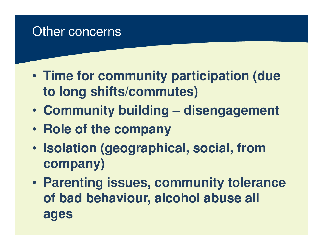# Other concerns

- $\bullet$  **Time for community participation (due to long shifts/commutes)**
- $\bullet$ **Community building – disengagement**
- $\bullet$ **Role of the company**
- $\bullet$  **Isolation (geographical, social, from company)**
- • **Parenting issues, community tolerance of bad behaviour, alcohol abuse all ages**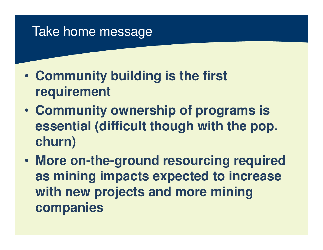## Take home message

- $\bullet$  **Community building is the first requirement**
- $\bullet$  **Community ownership of programs is essential (difficult though with the pop. churn)**
- $\bullet$  **More on-the-ground resourcing required as mining impacts expected to increase with new projects and more mining companies**